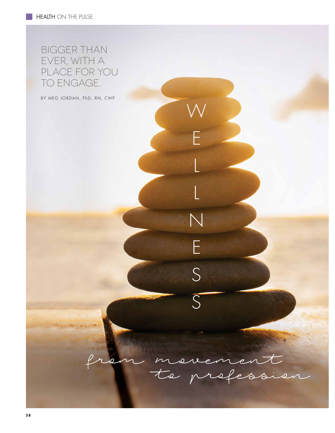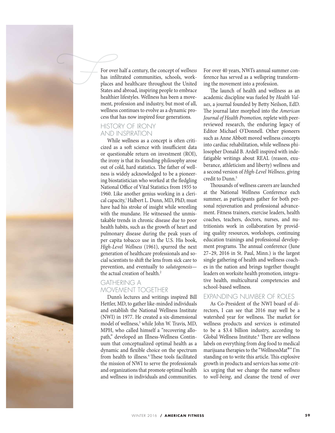

For over half a century, the concept of *wellness* has infltrated communities, schools, workplaces and healthcare throughout the United States and abroad, inspiring people to embrace healthier lifestyles. Wellness has been a movement, profession and industry, but most of all, wellness continues to evolve as a dynamic process that has now inspired four generations.

# HISTORY OF IRONY AND INSPIRATION

While wellness as a concept is often criticized as a soft science with insufficient data or questionable return on investment (ROI), the irony is that its founding philosophy arose out of cold, hard statistics. The father of wellness is widely acknowledged to be a pioneering biostatistician who worked at the fedgling National Office of Vital Statistics from 1935 to 1960. Like another genius working in a clerical capacity,<sup>1</sup> Halbert L. Dunn, MD, PhD, must have had his stroke of insight while wrestling with the mundane. He witnessed the unmistakable trends in chronic disease due to poor health habits, such as the growth of heart and pulmonary disease during the peak years of per capita tobacco use in the U.S. His book, *High-Level Wellness* (1961), spurred the next generation of healthcare professionals and social scientists to shift the lens from sick care to prevention, and eventually to *salutogenesis* the actual creation of health.<sup>2</sup>

# GATHERING A MOVEMENT TOGETHER

Dunn's lectures and writings inspired Bill Hettler, MD, to gather like-minded individuals and establish the National Wellness Institute (NWI) in 1977. He created a six-dimensional model of wellness,<sup>3</sup> while John W. Travis, MD, MPH, who called himself a "recovering allopath," developed an Illness-Wellness Continuum that conceptualized optimal health as a dynamic and fexible choice on the spectrum from health to illness.<sup>4</sup> These tools facilitated the mission of NWI to serve the professionals and organizations that promote optimal health and wellness in individuals and communities.

For over 40 years, NWI's annual summer conference has served as a wellspring transforming the movement into a profession.

The launch of health and wellness as an academic discipline was fueled by *Health Values*, a journal founded by Betty Neilson, EdD. The journal later morphed into the *American Journal of Health Promotion,* replete with peerreviewed research, the enduring legacy of Editor Michael O'Donnell. Other pioneers such as Anne Abbott moved wellness concepts into cardiac rehabilitation, while wellness philosopher Donald B. Ardell inspired with indefatigable writings about REAL (reason, exuberance, athleticism and liberty) wellness and a second version of *High-Level Wellness*, giving credit to Dunn.<sup>5</sup>

Thousands of wellness careers are launched at the National Wellness Conference each summer, as participants gather for both personal rejuvenation and professional advancement. Fitness trainers, exercise leaders, health coaches, teachers, doctors, nurses, and nutritionists work in collaboration by providing quality resources, workshops, continuing education trainings and professional development programs. The annual conference (June 27–29, 2016 in St. Paul, Minn.) is the largest single gathering of health and wellness coaches in the nation and brings together thought leaders on worksite health promotion, integrative health, multicultural competencies and school-based wellness.

## EXPANDING NUMBER OF ROLES

As Co-President of the NWI board of directors, I can see that 2016 may well be a watershed year for wellness. The market for wellness products and services is estimated to be a \$3.4 billion industry, according to Global Wellness Institute.<sup>6</sup> There are wellness labels on everything from dog food to medical marijuana therapies to the "WellnessMat®" I'm standing on to write this article. This explosive growth in products and services has some critics urging that we change the name *wellness* to *well-being*, and cleanse the trend of over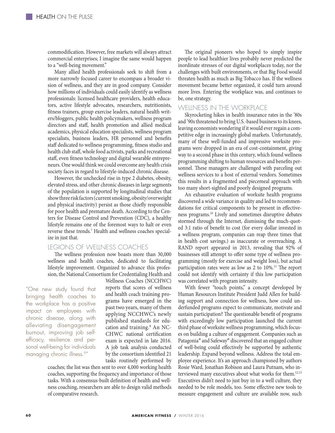commodifcation. However, free markets will always attract commercial enterprises; I imagine the same would happen to a "well-being movement."

Many allied health professionals seek to shift from a more narrowly focused career to encompass a broader vision of wellness, and they are in good company. Consider how millions of individuals could easily identify as wellness professionals: licensed healthcare providers, health educators, active lifestyle advocates, researchers, nutritionists, ftness trainers, group exercise leaders, natural health writers/bloggers, public health policymakers, wellness program directors and staf, health promotion and allied medical academics, physical education specialists, wellness program specialists, business leaders, HR personnel and benefts staff dedicated to wellness programming, fitness studio and health club staf, whole food activists, parks and recreational staf, even ftness technology and digital wearable entrepreneurs. One would think we could overcome any health crisis society faces in regard to lifestyle-induced chronic disease.

However, the unchecked rise in type 2 diabetes, obesity, elevated stress, and other chronic diseases in large segments of the population is supported by longitudinal studies that show three risk factors (current smoking, obesity/overweight and physical inactivity) persist as those chiefy responsible for poor health and premature death. According to the Centers for Disease Control and Prevention (CDC), a healthy lifestyle remains one of the foremost ways to halt or even reverse these trends.7 Health and wellness coaches specialize in just that.

### LEGIONS OF WELLNESS COACHES

The wellness profession now boasts more than 30,000 wellness and health coaches, dedicated to facilitating lifestyle improvement. Organized to advance this profession, the National Consortium for Credentialing Health and

"One new study found that bringing health coaches to the workplace has a positive impact on employees with chronic disease, along with alleviating disengagement burnout, improving job selfefficacy, resilience and personal well-being for individuals managing chronic illness.9"

Wellness Coaches (NCCHWC) reports that scores of wellness and health coach training programs have emerged in the past two years, many of them applying NCCHWC's newly published standards for education and training.<sup>8</sup> An NC-CHWC national certifcation exam is expected in late 2016. A job task analysis conducted by the consortium identifed 21 tasks routinely performed by

coaches; the list was then sent to over 4,000 working health coaches, supporting the frequency and importance of those tasks. With a consensus-built defnition of health and wellness coaching, researchers are able to design valid methods of comparative research.

The original pioneers who hoped to simply inspire people to lead healthier lives probably never predicted the inordinate stresses of our digital workplaces today, nor the challenges with built environments, or that Big Food would threaten health as much as Big Tobacco has. If the wellness movement became better organized, it could turn around more lives. Entering the workplace was, and continues to be, one strategy.

#### WELLNESS IN THE WORKPLACE

Skyrocketing hikes in health insurance rates in the '80s and '90s threatened to bring U.S.-based business to its knees, leaving economists wondering if it would ever regain a competitive edge in increasingly global markets. Unfortunately, many of these well-funded and impressive worksite programs were dropped in an era of cost-containment, giving way to a second phase in this century, which found wellness programming shifing to human resources and benefts personnel. These managers are challenged with parceling out wellness services to a host of external vendors. Sometimes this results in a fragmented and piecemeal approach with too many short-sighted and poorly designed programs.

An exhaustive evaluation of worksite health programs discovered a wide variance in quality and led to recommendations for critical components to be present in efectiveness programs.10 Lively and sometimes disruptive debates stormed through the Internet, dismissing the much-quoted 3:1 ratio of beneft to cost (for every dollar invested in a wellness program, companies can reap three times that in health cost savings.) as inaccurate or overreaching. A RAND report appeared in 2013, revealing that 92% of businesses still attempt to offer some type of wellness programming (mostly for exercise and weight loss), but actual participation rates were as low as  $2$  to  $10\%$ .<sup>11</sup> The report could not identify with certainty if this low participation was correlated with program intensity.

With fewer "touch points," a concept developed by Human Resources Institute President Judd Allen for building support and connection for wellness, how could underfunded programs expect to communicate, motivate and sustain participation? The questionable benefit of programs with exceedingly low participation launched the current third phase of worksite wellness programming, which focuses on building a culture of engagement. Companies such as Patagonia® and Safeway® discovered that an engaged culture of well-being could efectively be supported by authentic leadership. Expand beyond wellness. Address the total employee experience. It's an approach championed by authors Rosie Ward, Jonathan Robison and Laura Putnam, who interviewed many executives about what works for them.12,13 Executives didn't need to just buy in to a well culture, they needed to be role models, too. Some efective new tools to measure engagement and culture are available now, such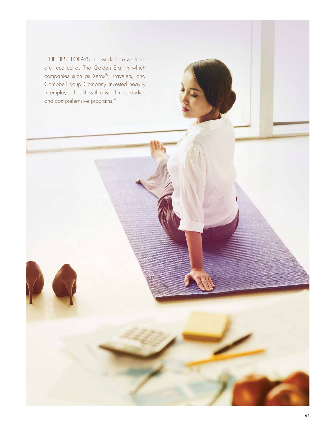"THE FIRST FORAYS into workplace wellness are recalled as The Golden Era, in which companies such as Xerox®, Travelers, and Campbell Soup Company invested heavily in employee health with onsite fitness studios and comprehensive programs."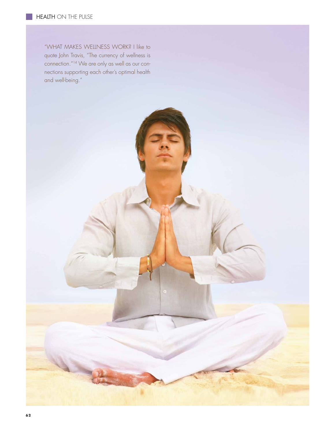"WHAT MAKES WELLNESS WORK? I like to quote John Travis, "The currency of wellness is connection."14 We are only as well as our connections supporting each other's optimal health and well-being."